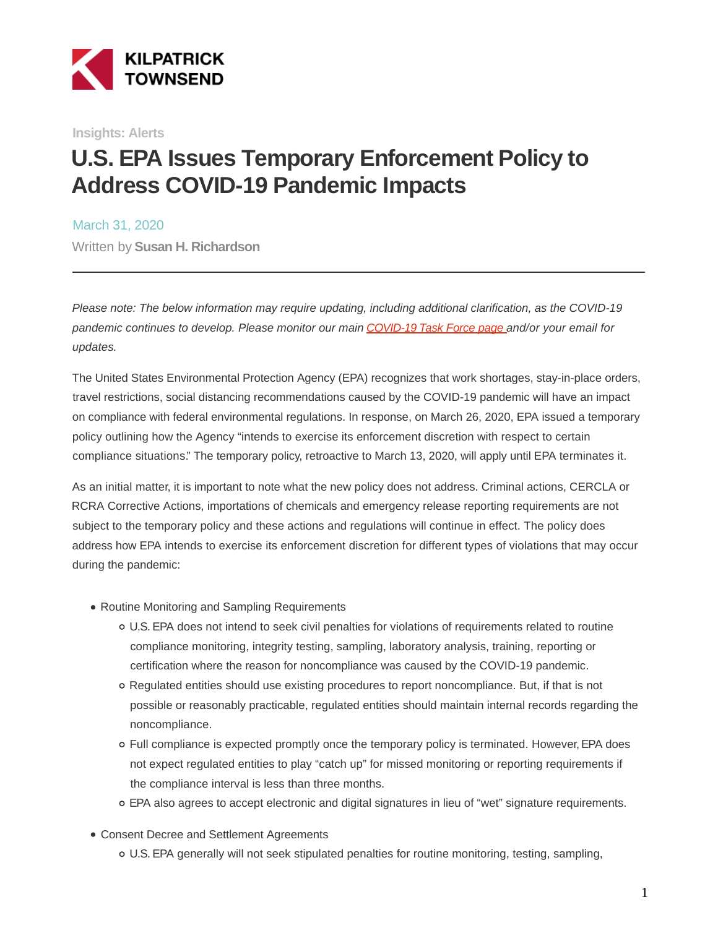

**Insights: Alerts**

## **U.S. EPA Issues Temporary Enforcement Policy to Address COVID-19 Pandemic Impacts**

March 31, 2020 Written by **Susan H. Richardson**

Please note: The below information may require updating, including additional clarification, as the COVID-19 pandemic continues to develop. Please monitor our main [COVID-19 Task Force page a](https://www.kilpatricktownsend.com/Insights/Alert/2020/3/Coronavirus-COVID-19-Task-Force)nd/or your email for updates.

The United States Environmental Protection Agency (EPA) recognizes that work shortages, stay-in-place orders, travel restrictions, social distancing recommendations caused by the COVID-19 pandemic will have an impact on compliance with federal environmental regulations. In response, on March 26, 2020, EPA issued a temporary policy outlining how the Agency "intends to exercise its enforcement discretion with respect to certain compliance situations." The temporary policy, retroactive to March 13, 2020, will apply until EPA terminates it.

As an initial matter, it is important to note what the new policy does not address. Criminal actions, CERCLA or RCRA Corrective Actions, importations of chemicals and emergency release reporting requirements are not subject to the temporary policy and these actions and regulations will continue in effect. The policy does address how EPA intends to exercise its enforcement discretion for different types of violations that may occur during the pandemic:

- Routine Monitoring and Sampling Requirements
	- U.S. EPA does not intend to seek civil penalties for violations of requirements related to routine compliance monitoring, integrity testing, sampling, laboratory analysis, training, reporting or certification where the reason for noncompliance was caused by the COVID-19 pandemic.
	- Regulated entities should use existing procedures to report noncompliance. But, if that is not possible or reasonably practicable, regulated entities should maintain internal records regarding the noncompliance.
	- Full compliance is expected promptly once the temporary policy is terminated. However, EPA does not expect regulated entities to play "catch up" for missed monitoring or reporting requirements if the compliance interval is less than three months.
	- EPA also agrees to accept electronic and digital signatures in lieu of "wet" signature requirements.
- Consent Decree and Settlement Agreements
	- U.S. EPA generally will not seek stipulated penalties for routine monitoring, testing, sampling,